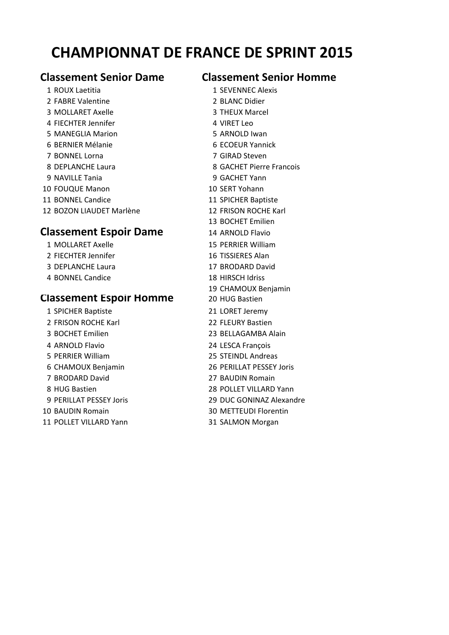# **CHAMPIONNAT DE FRANCE DE SPRINT 2015**

2 FABRE Valentine 2 BLANC Didier 3 MOLLARET Axelle 3 THEUX Marcel 4 FIFCHTER Jennifer 4 VIRET Leo 5 MANEGLIA Marion 6 CHANGER 19 S ARNOLD Iwan 6 BERNIER Mélanie 6 ECOEUR Yannick 7 BONNEL Lorna 7 GIRAD Steven 9 NAVILLE Tania 9 GACHET Yann 10 FOUQUE Manon 10 SERT Yohann 11 BONNEL Candice 11 SPICHER Baptiste 12 BOZON LIAUDET Marlène 12 FRISON ROCHE Karl

### **Classement Espoir Dame** 14 ARNOLD Flavio

- 2 FIECHTER Jennifer 16 TISSIERES Alan
- 3 DEPLANCHE Laura 17 BRODARD David
- 4 BONNEL Candice 18 HIRSCH Idriss

### **Classement Espoir Homme** 20 HUG Bastien

- 1 SPICHER Baptiste 21 LORET Jeremy 2 FRISON ROCHE Karl 22 FLEURY Bastien 3 BOCHET Emilien 23 BELLAGAMBA Alain 4 ARNOLD Flavio 24 LESCA François 5 PERRIER William 25 STEINDL Andreas 6 CHAMOUX Benjamin 26 PERILLAT PESSEY Joris 7 BRODARD David 27 BAUDIN Romain 8 HUG Bastien 28 POLLET VILLARD Yann 10 BAUDIN Romain 30 METTEUDI Florentin
- 11 POLLET VILLARD Yann **31 SALMON Morgan**

## **Classement Senior Dame Classement Senior Homme**

- 1 ROUX Laetitia 1 SEVENNEC Alexis
	-
	-
	-
	-
	-
- 8 DEPLANCHE Laura 8 GACHET Pierre Francois
	-
	-
	-
	-
	- 13 BOCHET Emilien
	-
- 1 MOLLARET Axelle 15 PERRIER William
	-
	-
	-
	- 19 CHAMOUX Benjamin
	-
	-
	-
	-
	-
	-
	-
	-
	-
- 9 PERILLAT PESSEY Joris 29 DUC GONINAZ Alexandre
	-
	-